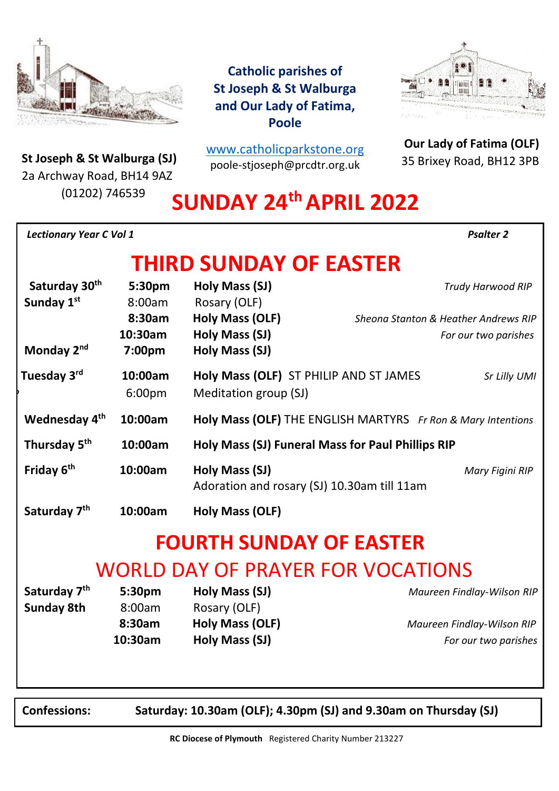

**Catholic parishes of St Joseph & St Walburga and Our Lady of Fatima, Poole**

m

**St Joseph & St Walburga (SJ)**<br>23 Archway Road, BH14 9A7 2a Archway Road, BH14 9AZ (01202) 746539

[www.catholicparkstone.o](http://www.catholicparkstone.org/)[rg](http://www.catholicparkstone.org/) poole-stjoseph@prcdtr.org.uk

**Our Lady of Fatima (OLF)** 35 Brixey Road, BH12 3PB

# **SUNDAY 24thAPRIL 2022**

| <b>Lectionary Year C Vol 1</b> |                   |                                                                 |                                      | <b>Psalter 2</b>           |
|--------------------------------|-------------------|-----------------------------------------------------------------|--------------------------------------|----------------------------|
|                                |                   | <b>THIRD SUNDAY OF EASTER</b>                                   |                                      |                            |
| Saturday 30th<br>Sunday 1st    | 5:30pm<br>8:00am  | Holy Mass (SJ)<br>Rosary (OLF)                                  |                                      | Trudy Harwood RIP          |
|                                | 8:30am            | <b>Holy Mass (OLF)</b>                                          | Sheona Stanton & Heather Andrews RIP |                            |
|                                | 10:30am           | <b>Holy Mass (SJ)</b>                                           |                                      | For our two parishes       |
| Monday 2nd                     | 7:00pm            | Holy Mass (SJ)                                                  |                                      |                            |
| Tuesday 3rd                    | 10:00am<br>6:00pm | Holy Mass (OLF) ST PHILIP AND ST JAMES<br>Meditation group (SJ) |                                      | Sr Lilly UMI               |
| Wednesday 4 <sup>th</sup>      | 10:00am           | Holy Mass (OLF) THE ENGLISH MARTYRS Fr Ron & Mary Intentions    |                                      |                            |
| Thursday 5 <sup>th</sup>       | 10:00am           | Holy Mass (SJ) Funeral Mass for Paul Phillips RIP               |                                      |                            |
| Friday 6 <sup>th</sup>         | 10:00am           | Holy Mass (SJ)<br>Adoration and rosary (SJ) 10.30am till 11am   |                                      | Mary Figini RIP            |
| Saturday 7 <sup>th</sup>       | 10:00am           | <b>Holy Mass (OLF)</b>                                          |                                      |                            |
|                                |                   | <b>FOURTH SUNDAY OF EASTER</b>                                  |                                      |                            |
|                                |                   |                                                                 | WORLD DAY OF PRAYER FOR VOCATIONS    |                            |
| Saturday 7 <sup>th</sup>       | 5:30pm            | Holy Mass (SJ)                                                  |                                      | Maureen Findlay-Wilson RIP |
| <b>Sunday 8th</b>              | 8:00am            | Rosary (OLF)                                                    |                                      |                            |
|                                | 8:30am            | <b>Holy Mass (OLF)</b>                                          |                                      | Maureen Findlay-Wilson RIP |
|                                | 10:30am           | Holy Mass (SJ)                                                  |                                      | For our two parishes       |

**Confessions: Saturday: 10.30am (OLF); 4.30pm (SJ) and 9.30am on Thursday (SJ)**